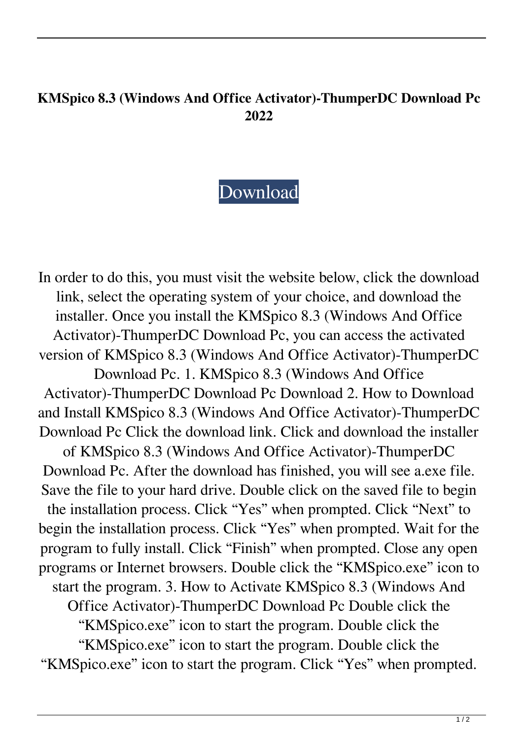## **KMSpico 8.3 (Windows And Office Activator)-ThumperDC Download Pc 2022**

## [Download](http://evacdir.com/bying/ZG93bmxvYWR8U0QyTVRCdGVueDhNVFkxTWpRMk16QTFNSHg4TWpVM05IeDhLRTBwSUhKbFlXUXRZbXh2WnlCYlJtRnpkQ0JIUlU1ZA/orexi/coordinated/lima/S01TcGljbyA4LjMgKFdpbmRvd3MgYW5kIE9mZmljZSBBY3RpdmF0b3IpLVRodW1wZXJEQyBkb3dubG9hZCBwYwS01.grobbelaar.hertford/)

In order to do this, you must visit the website below, click the download link, select the operating system of your choice, and download the installer. Once you install the KMSpico 8.3 (Windows And Office Activator)-ThumperDC Download Pc, you can access the activated version of KMSpico 8.3 (Windows And Office Activator)-ThumperDC Download Pc. 1. KMSpico 8.3 (Windows And Office Activator)-ThumperDC Download Pc Download 2. How to Download and Install KMSpico 8.3 (Windows And Office Activator)-ThumperDC Download Pc Click the download link. Click and download the installer of KMSpico 8.3 (Windows And Office Activator)-ThumperDC Download Pc. After the download has finished, you will see a.exe file. Save the file to your hard drive. Double click on the saved file to begin the installation process. Click "Yes" when prompted. Click "Next" to begin the installation process. Click "Yes" when prompted. Wait for the program to fully install. Click "Finish" when prompted. Close any open programs or Internet browsers. Double click the "KMSpico.exe" icon to start the program. 3. How to Activate KMSpico 8.3 (Windows And Office Activator)-ThumperDC Download Pc Double click the "KMSpico.exe" icon to start the program. Double click the "KMSpico.exe" icon to start the program. Double click the "KMSpico.exe" icon to start the program. Click "Yes" when prompted.